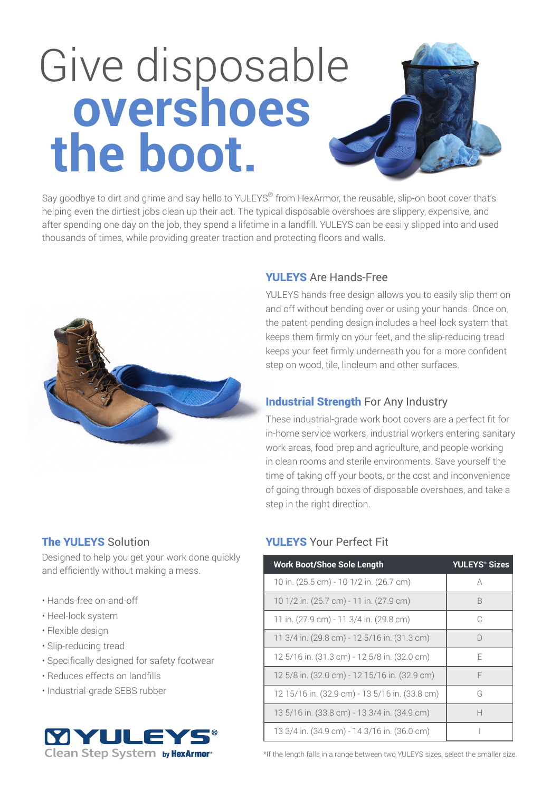# Give disposable **overshoes the boot.**

Say goodbye to dirt and grime and say hello to YULEYS® from HexArmor, the reusable, slip-on boot cover that's helping even the dirtiest jobs clean up their act. The typical disposable overshoes are slippery, expensive, and after spending one day on the job, they spend a lifetime in a landfill. YULEYS can be easily slipped into and used thousands of times, while providing greater traction and protecting floors and walls.



#### YULEYS Are Hands-Free

YULEYS hands-free design allows you to easily slip them on and off without bending over or using your hands. Once on, the patent-pending design includes a heel-lock system that keeps them firmly on your feet, and the slip-reducing tread keeps your feet firmly underneath you for a more confident step on wood, tile, linoleum and other surfaces.

#### **Industrial Strength For Any Industry**

These industrial-grade work boot covers are a perfect fit for in-home service workers, industrial workers entering sanitary work areas, food prep and agriculture, and people working in clean rooms and sterile environments. Save yourself the time of taking off your boots, or the cost and inconvenience of going through boxes of disposable overshoes, and take a step in the right direction.

### The YULEYS Solution

Designed to help you get your work done quickly and efficiently without making a mess.

- Hands-free on-and-off
- Heel-lock system
- Flexible design
- Slip-reducing tread
- Specifically designed for safety footwear
- Reduces effects on landfills
- Industrial-grade SEBS rubber



## YULEYS Your Perfect Fit

| <b>Work Boot/Shoe Sole Length</b>              | <b>YULEYS<sup>®</sup> Sizes</b> |
|------------------------------------------------|---------------------------------|
| 10 in. (25.5 cm) - 10 1/2 in. (26.7 cm)        | A                               |
| 10 1/2 in. (26.7 cm) - 11 in. (27.9 cm)        | B                               |
| 11 in. (27.9 cm) - 11 3/4 in. (29.8 cm)        | C                               |
| 11 3/4 in. (29.8 cm) - 12 5/16 in. (31.3 cm)   | D                               |
| 12 5/16 in. (31.3 cm) - 12 5/8 in. (32.0 cm)   | F                               |
| 12 5/8 in. (32.0 cm) - 12 15/16 in. (32.9 cm)  | F                               |
| 12 15/16 in. (32.9 cm) - 13 5/16 in. (33.8 cm) | G                               |
| 13 5/16 in. (33.8 cm) - 13 3/4 in. (34.9 cm)   | Н                               |
| 13 3/4 in. (34.9 cm) - 14 3/16 in. (36.0 cm)   |                                 |

\*If the length falls in a range between two YULEYS sizes, select the smaller size.